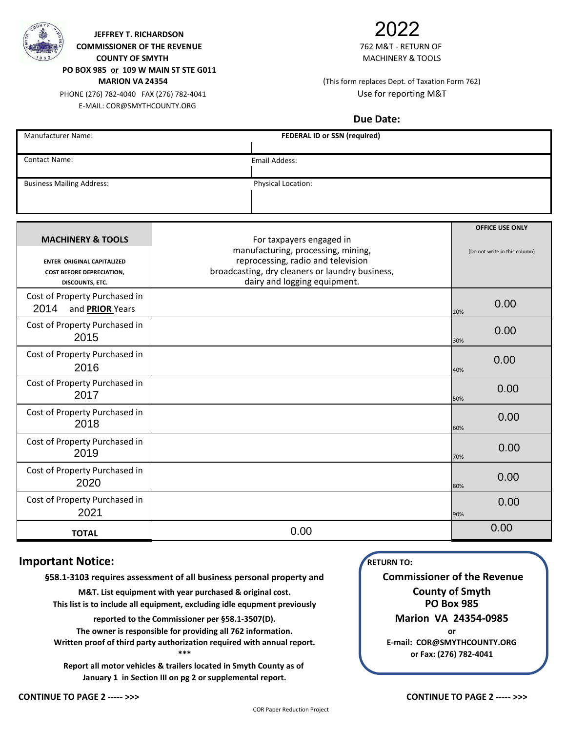

**COMMISSIONER OF THE REVENUE** THE **REVENUE 1999 THE SETURN OF THE SETURN OF THE SETURN OF THE SETURN OF THE SETURN OF THE SETURN OF THE SETURN OF THE SETURN OF THE SETURN OF THE SETURN OF THE SETURN OF THE SETURN OF THE COUNTY OF SMYTH MACHINERY & TOOLS JEFFREY T. RICHARDSON**

**PO BOX 985 or 109 W MAIN ST STE G011**

PHONE (276) 782-4040 FAX (276) 782-4041 Use for reporting M&T E-MAIL: COR@SMYTHCOUNTY.ORG

# 2022

## **MARION VA 24354** (This form replaces Dept. of Taxation Form 762)

### **Due Date:**

| Manufacturer Name:                                                                                                       | <b>FEDERAL ID or SSN (required)</b>                                                                                                                                                     |                                                         |  |  |  |
|--------------------------------------------------------------------------------------------------------------------------|-----------------------------------------------------------------------------------------------------------------------------------------------------------------------------------------|---------------------------------------------------------|--|--|--|
| <b>Contact Name:</b>                                                                                                     | <b>Email Addess:</b>                                                                                                                                                                    |                                                         |  |  |  |
| <b>Business Mailing Address:</b>                                                                                         | Physical Location:                                                                                                                                                                      |                                                         |  |  |  |
| <b>MACHINERY &amp; TOOLS</b><br><b>ENTER ORIGINAL CAPITALIZED</b><br><b>COST BEFORE DEPRECIATION,</b><br>DISCOUNTS, ETC. | For taxpayers engaged in<br>manufacturing, processing, mining,<br>reprocessing, radio and television<br>broadcasting, dry cleaners or laundry business,<br>dairy and logging equipment. | <b>OFFICE USE ONLY</b><br>(Do not write in this column) |  |  |  |
| Cost of Property Purchased in<br>2014<br>and <b>PRIOR</b> Years                                                          |                                                                                                                                                                                         | 0.00<br>20%                                             |  |  |  |
| Cost of Property Purchased in<br>2015                                                                                    |                                                                                                                                                                                         | 0.00<br>30%                                             |  |  |  |
| Cost of Property Purchased in<br>2016                                                                                    |                                                                                                                                                                                         | 0.00<br>40%                                             |  |  |  |
| Cost of Property Purchased in<br>2017                                                                                    |                                                                                                                                                                                         | 0.00<br>50%                                             |  |  |  |
| Cost of Property Purchased in<br>2018                                                                                    |                                                                                                                                                                                         | 0.00<br>60%                                             |  |  |  |
| Cost of Property Purchased in<br>2019                                                                                    |                                                                                                                                                                                         | 0.00<br>70%                                             |  |  |  |
| Cost of Property Purchased in<br>2020                                                                                    |                                                                                                                                                                                         | 0.00<br>80%                                             |  |  |  |
| Cost of Property Purchased in<br>2021                                                                                    |                                                                                                                                                                                         | 0.00<br>90%                                             |  |  |  |
| <b>TOTAL</b>                                                                                                             | 0.00                                                                                                                                                                                    | 0.00                                                    |  |  |  |

#### **Important Notice:**

**§58.1-3103 requires assessment of all business personal property and**

**M&T. List equipment with year purchased & original cost.**

**This list is to include all equipment, excluding idle equpment previously**

**reported to the Commissioner per §58.1-3507(D).**

**The owner is responsible for providing all 762 information. Written proof of third party authorization required with annual report. \*\*\***

**Report all motor vehicles & trailers located in Smyth County as of January 1 in Section III on pg 2 or supplemental report.**

 **RETURN TO:**

**or Fax: (276) 782-4041 PO Box 985 Commissioner of the Revenue County of Smyth Marion VA 24354-0985 or E-mail: COR@SMYTHCOUNTY.ORG**